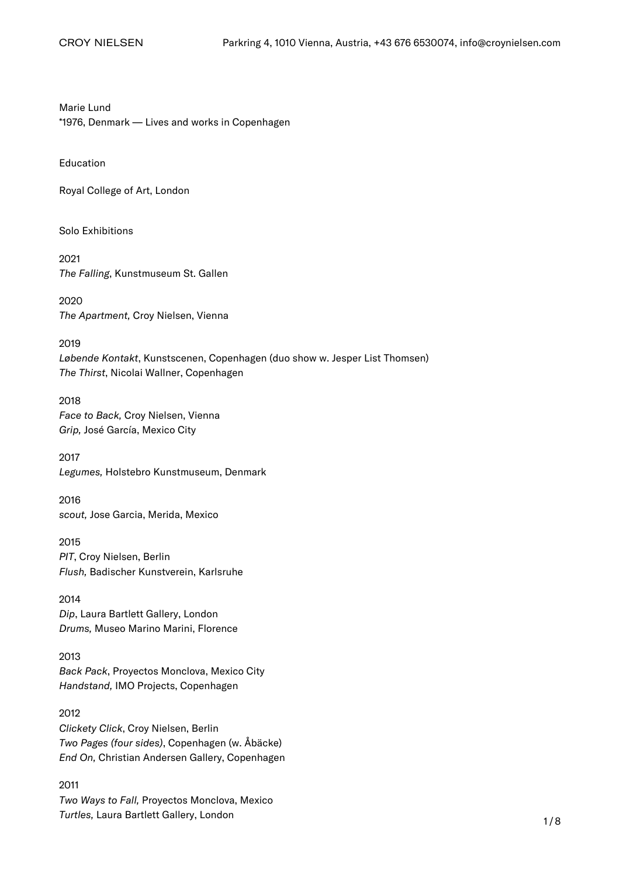Marie Lund \*1976, Denmark — Lives and works in Copenhagen

Education

Royal College of Art, London

Solo Exhibitions

2021 The Falling, Kunstmuseum St. Gallen

2020 The Apartment, Croy Nielsen, Vienna

#### 2019

Løbende Kontakt, Kunstscenen, Copenhagen (duo show w. Jesper List Thomsen) The Thirst, Nicolai Wallner, Copenhagen

2018 Face to Back, Croy Nielsen, Vienna Grip, José García, Mexico City

2017 Legumes, Holstebro Kunstmuseum, Denmark

2016 scout, Jose Garcia, Merida, Mexico

2015 PIT, Croy Nielsen, Berlin Flush, Badischer Kunstverein, Karlsruhe

2014 Dip, Laura Bartlett Gallery, London Drums, Museo Marino Marini, Florence

# 2013

Back Pack, Proyectos Monclova, Mexico City Handstand, IMO Projects, Copenhagen

2012 Clickety Click, Croy Nielsen, Berlin Two Pages (four sides), Copenhagen (w. Åbäcke) End On, Christian Andersen Gallery, Copenhagen

#### 2011

Two Ways to Fall, Proyectos Monclova, Mexico Turtles, Laura Bartlett Gallery, London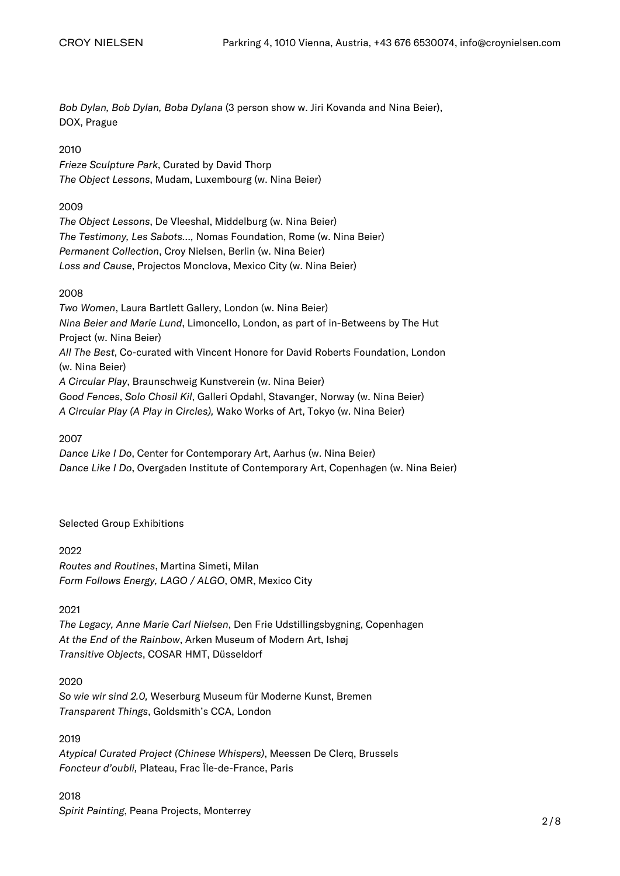Bob Dylan, Bob Dylan, Boba Dylana (3 person show w. Jiri Kovanda and Nina Beier), DOX, Prague

# 2010

Frieze Sculpture Park, Curated by David Thorp The Object Lessons, Mudam, Luxembourg (w. Nina Beier)

# 2009

The Object Lessons, De Vleeshal, Middelburg (w. Nina Beier) The Testimony, Les Sabots…, Nomas Foundation, Rome (w. Nina Beier) Permanent Collection, Croy Nielsen, Berlin (w. Nina Beier) Loss and Cause, Projectos Monclova, Mexico City (w. Nina Beier)

# 2008

Two Women, Laura Bartlett Gallery, London (w. Nina Beier) Nina Beier and Marie Lund, Limoncello, London, as part of in-Betweens by The Hut Project (w. Nina Beier) All The Best, Co-curated with Vincent Honore for David Roberts Foundation, London (w. Nina Beier) A Circular Play, Braunschweig Kunstverein (w. Nina Beier) Good Fences, Solo Chosil Kil, Galleri Opdahl, Stavanger, Norway (w. Nina Beier) A Circular Play (A Play in Circles), Wako Works of Art, Tokyo (w. Nina Beier)

2007

Dance Like I Do, Center for Contemporary Art, Aarhus (w. Nina Beier) Dance Like I Do, Overgaden Institute of Contemporary Art, Copenhagen (w. Nina Beier)

# Selected Group Exhibitions

# 2022

Routes and Routines, Martina Simeti, Milan Form Follows Energy, LAGO / ALGO, OMR, Mexico City

# 2021

The Legacy, Anne Marie Carl Nielsen, Den Frie Udstillingsbygning, Copenhagen At the End of the Rainbow, Arken Museum of Modern Art, Ishøj Transitive Objects, COSAR HMT, Düsseldorf

# 2020

So wie wir sind 2.0, Weserburg Museum für Moderne Kunst, Bremen Transparent Things, Goldsmith's CCA, London

# 2019

Atypical Curated Project (Chinese Whispers), Meessen De Clerq, Brussels Foncteur d'oubli, Plateau, Frac Île-de-France, Paris

# 2018 Spirit Painting, Peana Projects, Monterrey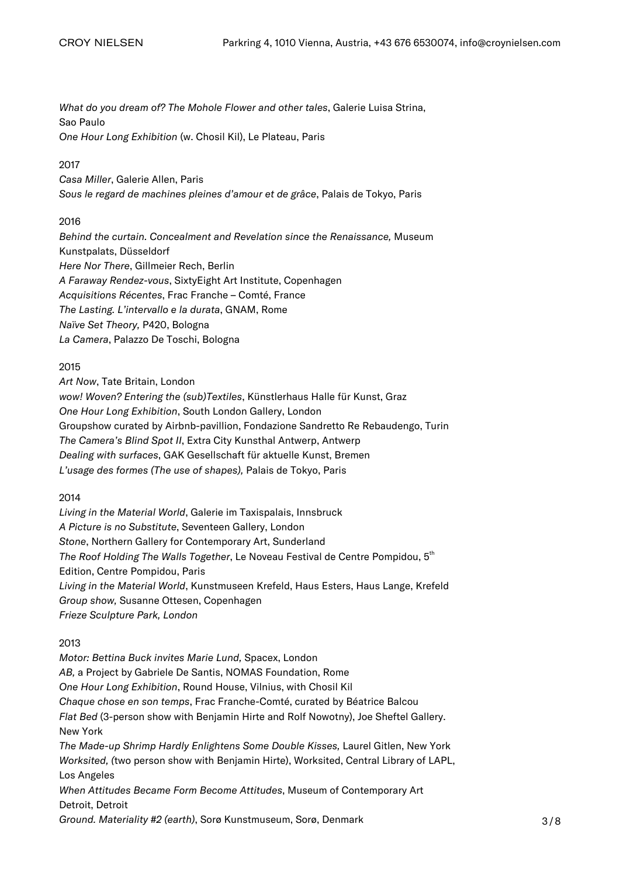What do you dream of? The Mohole Flower and other tales, Galerie Luisa Strina, Sao Paulo One Hour Long Exhibition (w. Chosil Kil), Le Plateau, Paris

## 2017

Casa Miller, Galerie Allen, Paris Sous le regard de machines pleines d'amour et de grâce, Palais de Tokyo, Paris

# 2016

Behind the curtain. Concealment and Revelation since the Renaissance, Museum Kunstpalats, Düsseldorf Here Nor There, Gillmeier Rech, Berlin A Faraway Rendez-vous, SixtyEight Art Institute, Copenhagen Acquisitions Récentes, Frac Franche – Comté, France The Lasting. L'intervallo e la durata, GNAM, Rome Naïve Set Theory, P420, Bologna La Camera, Palazzo De Toschi, Bologna

## 2015

Art Now, Tate Britain, London wow! Woven? Entering the (sub)Textiles, Künstlerhaus Halle für Kunst, Graz One Hour Long Exhibition, South London Gallery, London Groupshow curated by Airbnb-pavillion, Fondazione Sandretto Re Rebaudengo, Turin The Camera's Blind Spot II, Extra City Kunsthal Antwerp, Antwerp Dealing with surfaces, GAK Gesellschaft für aktuelle Kunst, Bremen L'usage des formes (The use of shapes), Palais de Tokyo, Paris

#### 2014

Living in the Material World, Galerie im Taxispalais, Innsbruck A Picture is no Substitute, Seventeen Gallery, London Stone, Northern Gallery for Contemporary Art, Sunderland The Roof Holding The Walls Together, Le Noveau Festival de Centre Pompidou, 5<sup>th</sup> Edition, Centre Pompidou, Paris Living in the Material World, Kunstmuseen Krefeld, Haus Esters, Haus Lange, Krefeld Group show, Susanne Ottesen, Copenhagen Frieze Sculpture Park, London

# 2013

Motor: Bettina Buck invites Marie Lund, Spacex, London AB, a Project by Gabriele De Santis, NOMAS Foundation, Rome One Hour Long Exhibition, Round House, Vilnius, with Chosil Kil Chaque chose en son temps, Frac Franche-Comté, curated by Béatrice Balcou Flat Bed (3-person show with Benjamin Hirte and Rolf Nowotny), Joe Sheftel Gallery. New York The Made-up Shrimp Hardly Enlightens Some Double Kisses, Laurel Gitlen, New York Worksited, (two person show with Benjamin Hirte), Worksited, Central Library of LAPL, Los Angeles When Attitudes Became Form Become Attitudes, Museum of Contemporary Art Detroit, Detroit

Ground. Materiality #2 (earth), Sorø Kunstmuseum, Sorø, Denmark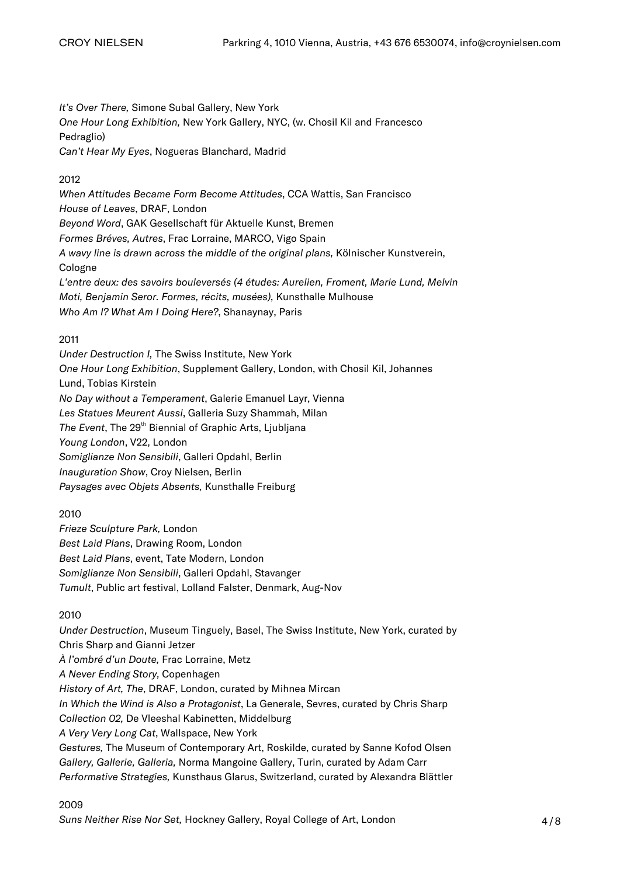It's Over There, Simone Subal Gallery, New York

One Hour Long Exhibition, New York Gallery, NYC, (w. Chosil Kil and Francesco Pedraglio)

Can't Hear My Eyes, Nogueras Blanchard, Madrid

# 2012

When Attitudes Became Form Become Attitudes, CCA Wattis, San Francisco House of Leaves, DRAF, London Beyond Word, GAK Gesellschaft für Aktuelle Kunst, Bremen Formes Bréves, Autres, Frac Lorraine, MARCO, Vigo Spain A wavy line is drawn across the middle of the original plans, Kölnischer Kunstverein, Cologne L'entre deux: des savoirs bouleversés (4 études: Aurelien, Froment, Marie Lund, Melvin Moti, Benjamin Seror. Formes, récits, musées), Kunsthalle Mulhouse Who Am I? What Am I Doing Here?, Shanaynay, Paris

# 2011

Under Destruction I, The Swiss Institute, New York One Hour Long Exhibition, Supplement Gallery, London, with Chosil Kil, Johannes Lund, Tobias Kirstein No Day without a Temperament, Galerie Emanuel Layr, Vienna Les Statues Meurent Aussi, Galleria Suzy Shammah, Milan The Event, The 29<sup>th</sup> Biennial of Graphic Arts, Ljubljana Young London, V22, London Somiglianze Non Sensibili, Galleri Opdahl, Berlin [Inauguration Show](https://croynielsen.com/exhibitions/inauguration-of-our-new-space/)[, Croy Nielsen, Berlin](https://croynielsen.com/exhibitions/inauguration-of-our-new-space/) Paysages avec Objets Absents, Kunsthalle Freiburg

# 2010

Frieze Sculpture Park, London Best Laid Plans, Drawing Room, London Best Laid Plans, event, Tate Modern, London Somiglianze Non Sensibili, Galleri Opdahl, Stavanger Tumult, Public art festival, Lolland Falster, Denmark, Aug-Nov

# 2010

Under Destruction, Museum Tinguely, Basel, The Swiss Institute, New York, curated by Chris Sharp and Gianni Jetzer À l'ombré d'un Doute, Frac Lorraine, Metz A Never Ending Story, Copenhagen History of Art, The, DRAF, London, curated by Mihnea Mircan In Which the Wind is Also a Protagonist, La Generale, Sevres, curated by Chris Sharp Collection 02, De Vleeshal Kabinetten, Middelburg A Very Very Long Cat, Wallspace, New York Gestures, The Museum of Contemporary Art, Roskilde, curated by Sanne Kofod Olsen Gallery, Gallerie, Galleria, Norma Mangoine Gallery, Turin, curated by Adam Carr Performative Strategies, Kunsthaus Glarus, Switzerland, curated by Alexandra Blättler

# 2009

Suns Neither Rise Nor Set, Hockney Gallery, Royal College of Art, London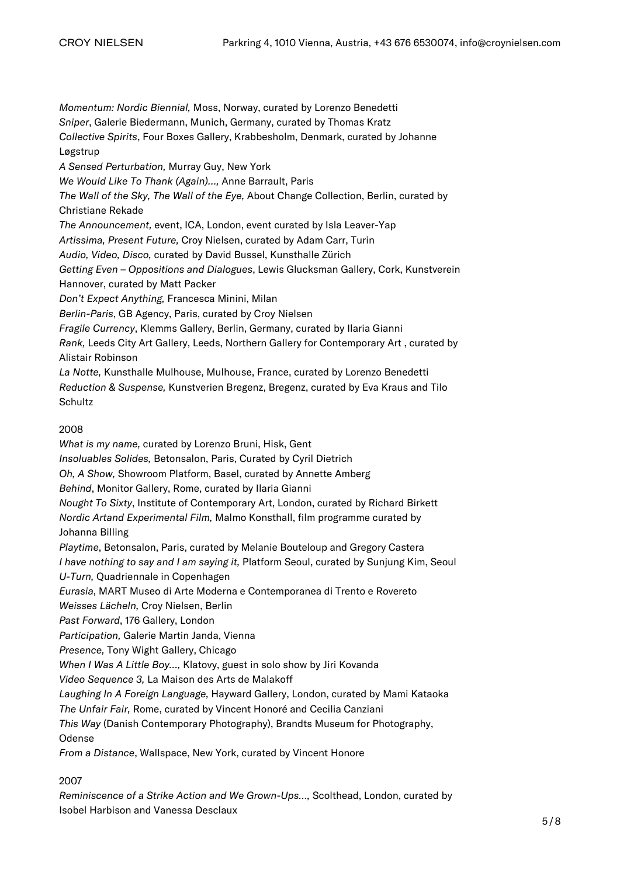Momentum: Nordic Biennial, Moss, Norway, curated by Lorenzo Benedetti Sniper, Galerie Biedermann, Munich, Germany, curated by Thomas Kratz Collective Spirits, Four Boxes Gallery, Krabbesholm, Denmark, curated by Johanne Løgstrup A Sensed Perturbation, Murray Guy, New York We Would Like To Thank (Again)…, Anne Barrault, Paris The Wall of the Sky, The Wall of the Eye, About Change Collection, Berlin, curated by Christiane Rekade The Announcement, event, ICA, London, event curated by Isla Leaver-Yap Artissima, Present Future, Croy Nielsen, curated by Adam Carr, Turin Audio, Video, Disco, curated by David Bussel, Kunsthalle Zürich Getting Even – Oppositions and Dialogues, Lewis Glucksman Gallery, Cork, Kunstverein Hannover, curated by Matt Packer Don't Expect Anything, Francesca Minini, Milan Berlin-Paris, GB Agency, Paris, curated by Croy Nielsen Fragile Currency, Klemms Gallery, Berlin, Germany, curated by Ilaria Gianni Rank, Leeds City Art Gallery, Leeds, Northern Gallery for Contemporary Art , curated by Alistair Robinson La Notte, Kunsthalle Mulhouse, Mulhouse, France, curated by Lorenzo Benedetti Reduction & Suspense, Kunstverien Bregenz, Bregenz, curated by Eva Kraus and Tilo **Schultz** 2008

What is my name, curated by Lorenzo Bruni, Hisk, Gent Insoluables Solides, Betonsalon, Paris, Curated by Cyril Dietrich Oh, A Show, Showroom Platform, Basel, curated by Annette Amberg Behind, Monitor Gallery, Rome, curated by Ilaria Gianni Nought To Sixty, Institute of Contemporary Art, London, curated by Richard Birkett Nordic Artand Experimental Film, Malmo Konsthall, film programme curated by Johanna Billing Playtime, Betonsalon, Paris, curated by Melanie Bouteloup and Gregory Castera I have nothing to say and I am saying it, Platform Seoul, curated by Sunjung Kim, Seoul U-Turn, Quadriennale in Copenhagen Eurasia, MART Museo di Arte Moderna e Contemporanea di Trento e Rovereto Weisses Lächeln, Croy Nielsen, Berlin Past Forward, 176 Gallery, London Participation, Galerie Martin Janda, Vienna Presence, Tony Wight Gallery, Chicago When I Was A Little Boy…, Klatovy, guest in solo show by Jiri Kovanda Video Sequence 3, La Maison des Arts de Malakoff Laughing In A Foreign Language, Hayward Gallery, London, curated by Mami Kataoka The Unfair Fair, Rome, curated by Vincent Honoré and Cecilia Canziani This Way (Danish Contemporary Photography), Brandts Museum for Photography, Odense From a Distance, Wallspace, New York, curated by Vincent Honore

2007

Reminiscence of a Strike Action and We Grown-Ups…, Scolthead, London, curated by Isobel Harbison and Vanessa Desclaux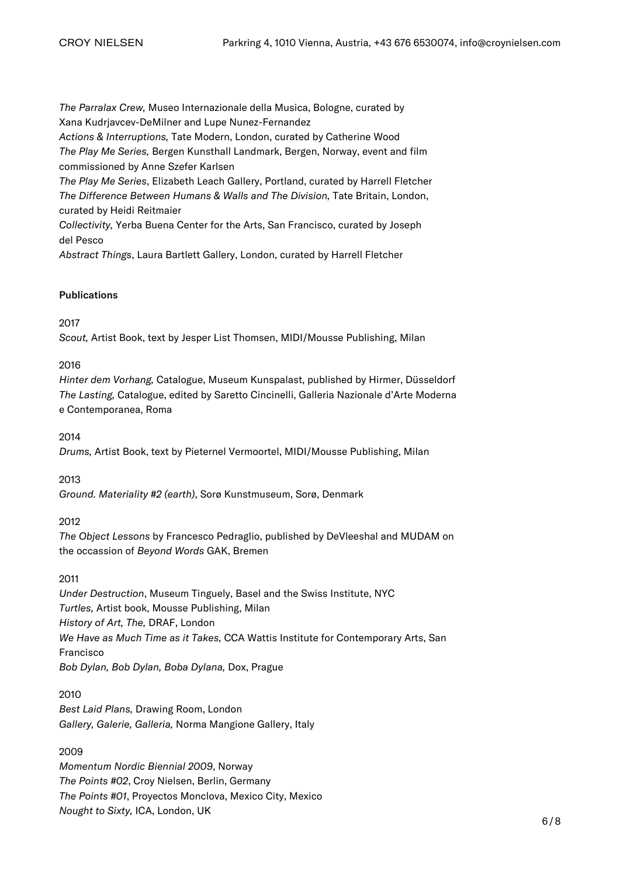The Parralax Crew, Museo Internazionale della Musica, Bologne, curated by Xana Kudrjavcev-DeMilner and Lupe Nunez-Fernandez

Actions & Interruptions, Tate Modern, London, curated by Catherine Wood

The Play Me Series, Bergen Kunsthall Landmark, Bergen, Norway, event and film commissioned by Anne Szefer Karlsen

The Play Me Series, Elizabeth Leach Gallery, Portland, curated by Harrell Fletcher The Difference Between Humans & Walls and The Division, Tate Britain, London, curated by Heidi Reitmaier

Collectivity, Yerba Buena Center for the Arts, San Francisco, curated by Joseph del Pesco

Abstract Things, Laura Bartlett Gallery, London, curated by Harrell Fletcher

## **Publications**

## 2017

Scout, Artist Book, text by Jesper List Thomsen, MIDI/Mousse Publishing, Milan

# 2016

Hinter dem Vorhang, Catalogue, Museum Kunspalast, published by Hirmer, Düsseldorf The Lasting, Catalogue, edited by Saretto Cincinelli, Galleria Nazionale d'Arte Moderna e Contemporanea, Roma

#### 2014

Drums, Artist Book, text by Pieternel Vermoortel, MIDI/Mousse Publishing, Milan

#### 2013

Ground. Materiality #2 (earth), Sorø Kunstmuseum, Sorø, Denmark

# 2012

The Object Lessons by Francesco Pedraglio, published by DeVleeshal and MUDAM on the occassion of Beyond Words GAK, Bremen

## 2011

Under Destruction, Museum Tinguely, Basel and the Swiss Institute, NYC Turtles, Artist book, Mousse Publishing, Milan History of Art, The, DRAF, London We Have as Much Time as it Takes, CCA Wattis Institute for Contemporary Arts, San Francisco Bob Dylan, Bob Dylan, Boba Dylana, Dox, Prague

#### 2010

Best Laid Plans, Drawing Room, London Gallery, Galerie, Galleria, Norma Mangione Gallery, Italy

# 2009

Momentum Nordic Biennial 2009, Norway The Points #02, Croy Nielsen, Berlin, Germany The Points #01, Proyectos Monclova, Mexico City, Mexico Nought to Sixty, ICA, London, UK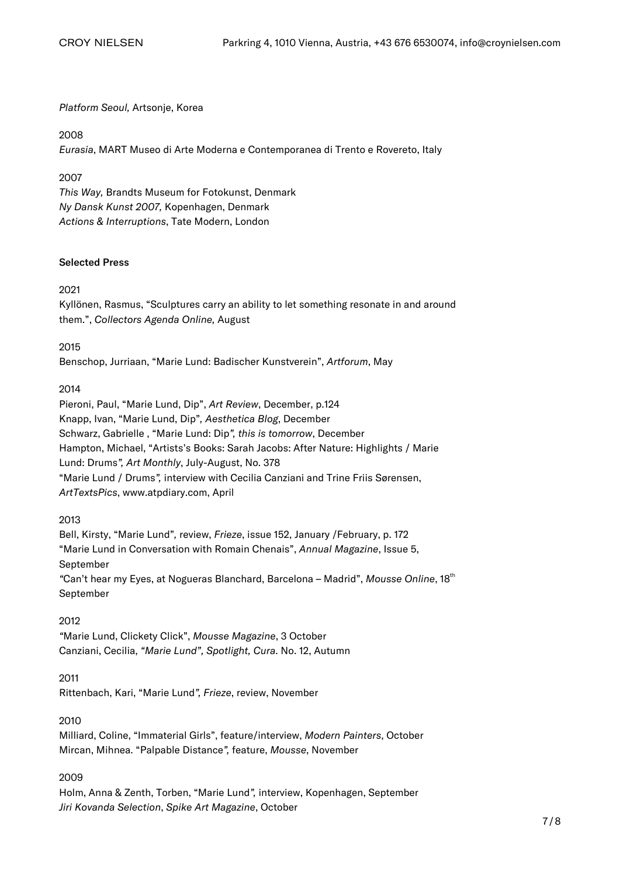#### Platform Seoul, Artsonje, Korea

#### 2008

Eurasia, MART Museo di Arte Moderna e Contemporanea di Trento e Rovereto, Italy

#### 2007

This Way, Brandts Museum for Fotokunst, Denmark Ny Dansk Kunst 2007, Kopenhagen, Denmark Actions & Interruptions, Tate Modern, London

#### Selected Press

#### 2021

Kyllönen, Rasmus, "Sculptures carry an ability to let something resonate in and around them.", Collectors Agenda Online, August

#### 2015

Benschop, Jurriaan, "Marie Lund: Badischer Kunstverein", Artforum, May

## 2014

Pieroni, Paul, "Marie Lund, Dip", Art Review, December, p.124 Knapp, Ivan, "Marie Lund, Dip", Aesthetica Blog, December Schwarz, Gabrielle , "Marie Lund: Dip", this is tomorrow, December Hampton, Michael, "Artists's Books: Sarah Jacobs: After Nature: Highlights / Marie Lund: Drums", Art Monthly, July-August, No. 378 "Marie Lund / Drums", interview with Cecilia Canziani and Trine Friis Sørensen, ArtTextsPics, www.atpdiary.com, April

#### 2013

Bell, Kirsty, "Marie Lund", review, Frieze, issue 152, January /February, p. 172 "Marie Lund in Conversation with Romain Chenais", Annual Magazine, Issue 5, September "Can't hear my Eyes, at Nogueras Blanchard, Barcelona - Madrid", Mousse Online, 18th September

#### 2012

"Marie Lund, Clickety Click", Mousse Magazine, 3 October Canziani, Cecilia, "Marie Lund", Spotlight, Cura. No. 12, Autumn

# 2011

Rittenbach, Kari, "Marie Lund", Frieze, review, November

#### 2010

Milliard, Coline, "Immaterial Girls", feature/interview, Modern Painters, October Mircan, Mihnea. "Palpable Distance", feature, Mousse, November

#### 2009

Holm, Anna & Zenth, Torben, "Marie Lund", interview, Kopenhagen, September Jiri Kovanda Selection, Spike Art Magazine, October